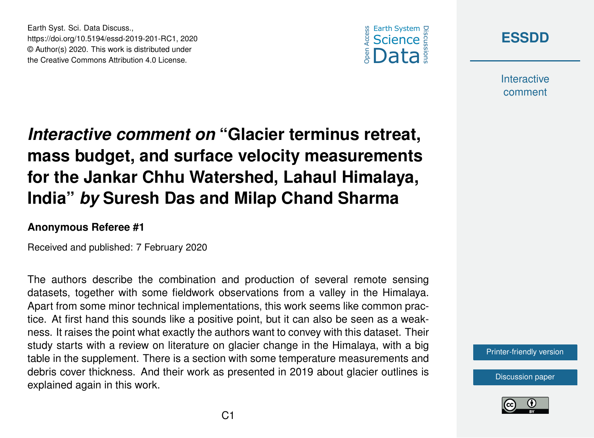



**Interactive** comment

# *Interactive comment on* **"Glacier terminus retreat, mass budget, and surface velocity measurements for the Jankar Chhu Watershed, Lahaul Himalaya, India"** *by* **Suresh Das and Milap Chand Sharma**

#### **Anonymous Referee #1**

Earth Syst. Sci. Data Discuss.,

https://doi.org/10.5194/essd-2019-201-RC1, 2020 © Author(s) 2020. This work is distributed under the Creative Commons Attribution 4.0 License.

Received and published: 7 February 2020

The authors describe the combination and production of several remote sensing datasets, together with some fieldwork observations from a valley in the Himalaya. Apart from some minor technical implementations, this work seems like common practice. At first hand this sounds like a positive point, but it can also be seen as a weakness. It raises the point what exactly the authors want to convey with this dataset. Their study starts with a review on literature on glacier change in the Himalaya, with a big table in the supplement. There is a section with some temperature measurements and debris cover thickness. And their work as presented in 2019 about glacier outlines is explained again in this work.

[Printer-friendly version](https://www.earth-syst-sci-data-discuss.net/essd-2019-201/essd-2019-201-RC1-print.pdf)

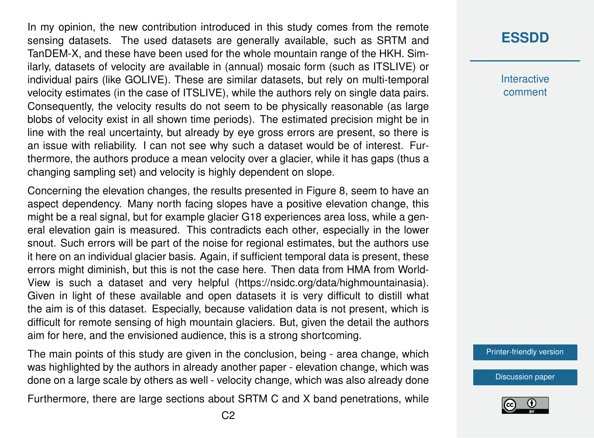In my opinion, the new contribution introduced in this study comes from the remote sensing datasets. The used datasets are generally available, such as SRTM and TanDEM-X, and these have been used for the whole mountain range of the HKH. Similarly, datasets of velocity are available in (annual) mosaic form (such as ITSLIVE) or individual pairs (like GOLIVE). These are similar datasets, but rely on multi-temporal velocity estimates (in the case of ITSLIVE), while the authors rely on single data pairs. Consequently, the velocity results do not seem to be physically reasonable (as large blobs of velocity exist in all shown time periods). The estimated precision might be in line with the real uncertainty, but already by eye gross errors are present, so there is an issue with reliability. I can not see why such a dataset would be of interest. Furthermore, the authors produce a mean velocity over a glacier, while it has gaps (thus a changing sampling set) and velocity is highly dependent on slope.

Concerning the elevation changes, the results presented in Figure 8, seem to have an aspect dependency. Many north facing slopes have a positive elevation change, this might be a real signal, but for example glacier G18 experiences area loss, while a general elevation gain is measured. This contradicts each other, especially in the lower snout. Such errors will be part of the noise for regional estimates, but the authors use it here on an individual glacier basis. Again, if sufficient temporal data is present, these errors might diminish, but this is not the case here. Then data from HMA from World-View is such a dataset and very helpful (https://nsidc.org/data/highmountainasia). Given in light of these available and open datasets it is very difficult to distill what the aim is of this dataset. Especially, because validation data is not present, which is difficult for remote sensing of high mountain glaciers. But, given the detail the authors aim for here, and the envisioned audience, this is a strong shortcoming.

The main points of this study are given in the conclusion, being - area change, which was highlighted by the authors in already another paper - elevation change, which was done on a large scale by others as well - velocity change, which was also already done

Furthermore, there are large sections about SRTM C and X band penetrations, while

### **[ESSDD](https://www.earth-syst-sci-data-discuss.net/)**

**Interactive** comment

[Printer-friendly version](https://www.earth-syst-sci-data-discuss.net/essd-2019-201/essd-2019-201-RC1-print.pdf)

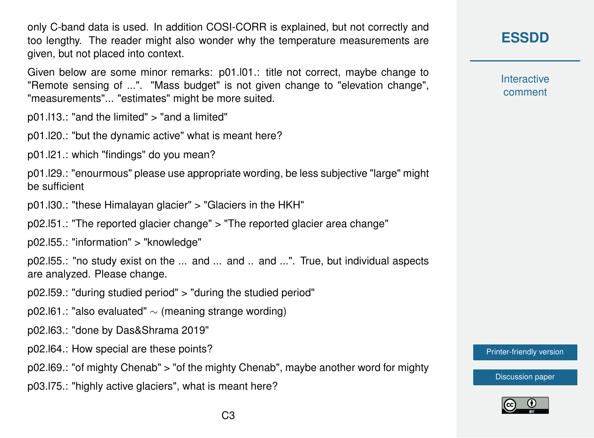only C-band data is used. In addition COSI-CORR is explained, but not correctly and too lengthy. The reader might also wonder why the temperature measurements are given, but not placed into context.

Given below are some minor remarks: p01.l01.: title not correct, maybe change to "Remote sensing of ...". "Mass budget" is not given change to "elevation change", "measurements"... "estimates" might be more suited.

p01.l13.: "and the limited" > "and a limited"

p01.l20.: "but the dynamic active" what is meant here?

p01.l21.: which "findings" do you mean?

p01.l29.: "enourmous" please use appropriate wording, be less subjective "large" might be sufficient

p01.l30.: "these Himalayan glacier" > "Glaciers in the HKH"

p02.l51.: "The reported glacier change" > "The reported glacier area change"

p02.l55.: "information" > "knowledge"

p02.l55.: "no study exist on the ... and ... and .. and ...". True, but individual aspects are analyzed. Please change.

p02.l59.: "during studied period" > "during the studied period"

p02.161.: "also evaluated"  $\sim$  (meaning strange wording)

p02.l63.: "done by Das&Shrama 2019"

p02.l64.: How special are these points?

p02.l69.: "of mighty Chenab" > "of the mighty Chenab", maybe another word for mighty

p03.l75.: "highly active glaciers", what is meant here?

#### **[ESSDD](https://www.earth-syst-sci-data-discuss.net/)**

**Interactive** comment

[Printer-friendly version](https://www.earth-syst-sci-data-discuss.net/essd-2019-201/essd-2019-201-RC1-print.pdf)

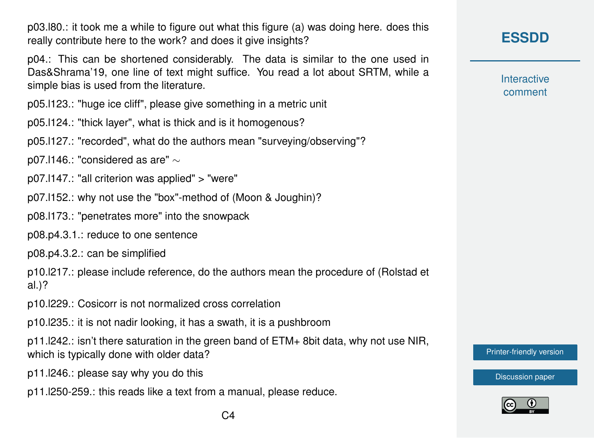p03.l80.: it took me a while to figure out what this figure (a) was doing here. does this really contribute here to the work? and does it give insights?

p04.: This can be shortened considerably. The data is similar to the one used in Das&Shrama'19, one line of text might suffice. You read a lot about SRTM, while a simple bias is used from the literature.

p05.l123.: "huge ice cliff", please give something in a metric unit

p05.l124.: "thick layer", what is thick and is it homogenous?

p05.l127.: "recorded", what do the authors mean "surveying/observing"?

p07.l146.: "considered as are" ∼

- p07.l147.: "all criterion was applied" > "were"
- p07.l152.: why not use the "box"-method of (Moon & Joughin)?
- p08.l173.: "penetrates more" into the snowpack
- p08.p4.3.1.: reduce to one sentence

p08.p4.3.2.: can be simplified

p10.l217.: please include reference, do the authors mean the procedure of (Rolstad et al.)?

p10.l229.: Cosicorr is not normalized cross correlation

p10.l235.: it is not nadir looking, it has a swath, it is a pushbroom

p11.l242.: isn't there saturation in the green band of ETM+ 8bit data, why not use NIR, which is typically done with older data?

- p11.l246.: please say why you do this
- p11.l250-259.: this reads like a text from a manual, please reduce.

**Interactive** comment

[Printer-friendly version](https://www.earth-syst-sci-data-discuss.net/essd-2019-201/essd-2019-201-RC1-print.pdf)